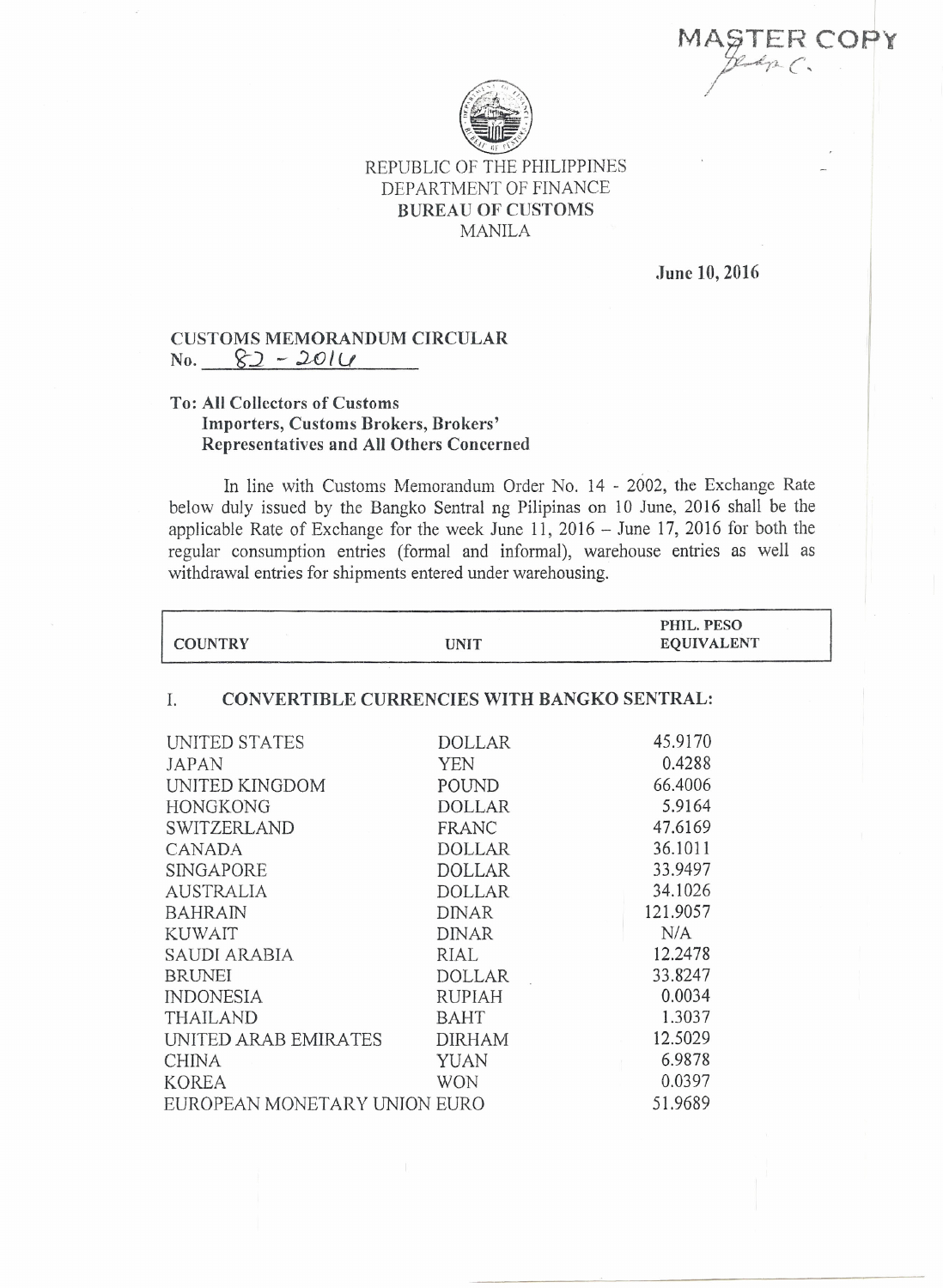**TER COPY** 



# REPUBLIC OF THE PHILIPPINES DEPARTMENT OF FINANCE BUREAU OF CUSTOMS MANILA

#### June 10,2016

## CUSTOMS MEMORANDUM CIRCULAR  $No. 82 - 201U$

## To: All Collectors of Customs Importers, Customs Brokers, Brokers' Representatives and All Others Concerned

In line with Customs Memorandum Order No. 14 - 2002, the Exchange Rate below duly issued by the Bangko Sentral ng Pilipinas on 10 June, 2016 shall be the applicable Rate of Exchange for the week June 11, 2016 - June 17, 2016 for both the regular consumption entries (formal and informal), warehouse entries as well as withdrawal entries for shipments entered under warehousing.

| <b>COUNTRY</b>                                           | <b>UNIT</b>   | PHIL. PESO<br><b>EQUIVALENT</b> |  |
|----------------------------------------------------------|---------------|---------------------------------|--|
| <b>CONVERTIBLE CURRENCIES WITH BANGKO SENTRAL:</b><br>Ι. |               |                                 |  |
| UNITED STATES                                            | <b>DOLLAR</b> | 45.9170                         |  |
| JAPAN                                                    | YEN           | 0.4288                          |  |
| UNITED KINGDOM                                           | POUND         | 66.4006                         |  |
| <b>HONGKONG</b>                                          | <b>DOLLAR</b> | 5.9164                          |  |
| <b>SWITZERLAND</b>                                       | <b>FRANC</b>  | 47.6169                         |  |
| CANADA                                                   | <b>DOLLAR</b> | 36.1011                         |  |
| <b>SINGAPORE</b>                                         | <b>DOLLAR</b> | 33.9497                         |  |
| <b>AUSTRALIA</b>                                         | <b>DOLLAR</b> | 34.1026                         |  |
| <b>BAHRAIN</b>                                           | <b>DINAR</b>  | 121.9057                        |  |
| <b>KUWAIT</b>                                            | <b>DINAR</b>  | N/A                             |  |
| <b>SAUDI ARABIA</b>                                      | RIAL          | 12.2478                         |  |
| <b>BRUNEI</b>                                            | <b>DOLLAR</b> | 33.8247                         |  |
| <b>INDONESIA</b>                                         | <b>RUPIAH</b> | 0.0034                          |  |
| <b>THAILAND</b>                                          | <b>BAHT</b>   | 1.3037                          |  |
| UNITED ARAB EMIRATES                                     | <b>DIRHAM</b> | 12.5029                         |  |
| <b>CHINA</b>                                             | <b>YUAN</b>   | 6.9878                          |  |
| <b>KOREA</b>                                             | <b>WON</b>    | 0.0397                          |  |
| EUROPEAN MONETARY UNION EURO                             |               | 51.9689                         |  |